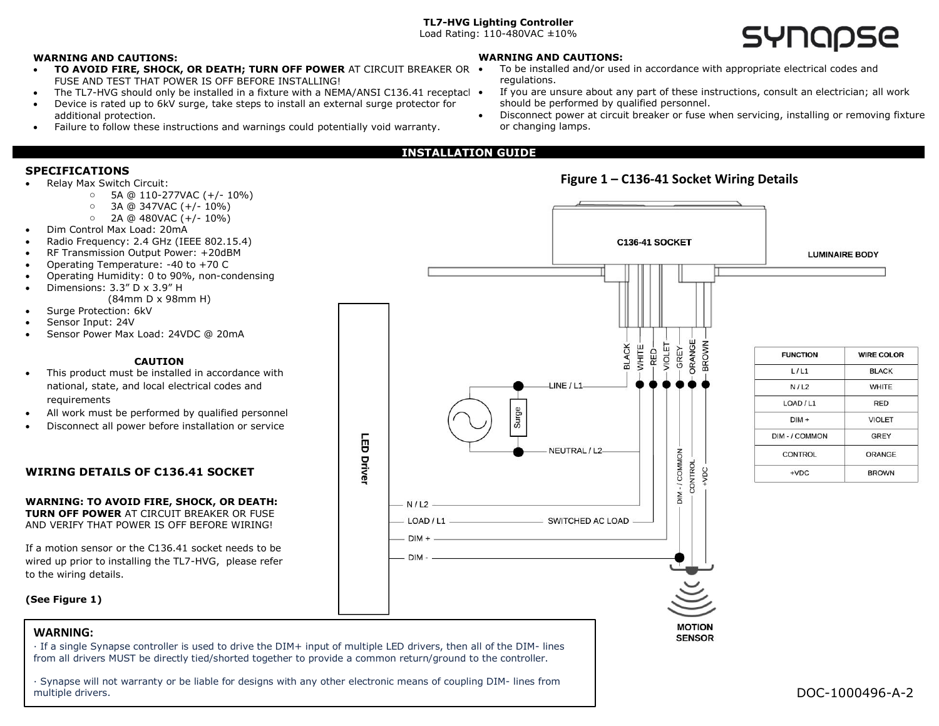## **TL7-HVG Lighting Controller**

Load Rating: 110-480VAC ±10%

### **WARNING AND CAUTIONS:**

- **TO AVOID FIRE, SHOCK, OR DEATH: TURN OFF POWER AT CIRCUIT BREAKER OR** FUSE AND TEST THAT POWER IS OFF BEFORE INSTALLING!
- The TL7-HVG should only be installed in a fixture with a NEMA/ANSI C136.41 receptacl •
- Device is rated up to 6kV surge, take steps to install an external surge protector for additional protection.
- Failure to follow these instructions and warnings could potentially void warranty.

#### **WARNING AND CAUTIONS:**

- To be installed and/or used in accordance with appropriate electrical codes and regulations.
- If you are unsure about any part of these instructions, consult an electrician; all work should be performed by qualified personnel.

**MOTION SENSOR** 

- Disconnect power at circuit breaker or fuse when servicing, installing or removing fixture or changing lamps.
- **INSTALLATION GUIDE**

 $DIM -$ 

- **SPECIFICATIONS Figure 1 – C136-41 Socket Wiring Details** • Relay Max Switch Circuit: o 5A @ 110-277VAC (+/- 10%)  $\circ$  3A @ 347VAC (+/-10%)  $O$  2A @ 480VAC (+/-10%) • Dim Control Max Load: 20mA • Radio Frequency: 2.4 GHz (IEEE 802.15.4) C136-41 SOCKET • RF Transmission Output Power: +20dBM **LUMINAIRE BODY** • Operating Temperature: -40 to +70 C • Operating Humidity: 0 to 90%, non-condensing • Dimensions: 3.3" D x 3.9" H (84mm D x 98mm H) Surge Protection: 6kV • Sensor Input: 24V • Sensor Power Max Load: 24VDC @ 20mA ORANGE **VIOLET BLACK** WHITE-**BROWN** GREY-RED-**FUNCTION WIRE COLOR CAUTION**  $L/L1$ **BLACK** This product must be installed in accordance with national, state, and local electrical codes and  $LINE/L1$  $N/L2$ **WHITE** requirements LOAD / L1 **RED** Surge All work must be performed by qualified personnel  $DIM +$ **VIOLET** • Disconnect all power before installation or service ā DIM - / COMMON GREY NEUTRAL / L2-DIM-/COMMON **CONTROL ORANGE Driver CONTROL WIRING DETAILS OF C136.41 SOCKET**  $+VDC$ **BROWN WARNING: TO AVOID FIRE, SHOCK, OR DEATH:**   $- N/L2$   $-$ **TURN OFF POWER** AT CIRCUIT BREAKER OR FUSE AND VERIFY THAT POWER IS OFF BEFORE WIRING! If a motion sensor or the C136.41 socket needs to be
- **(See Figure 1)**

to the wiring details.

wired up prior to installing the TL7-HVG, please refer

## **WARNING:**

· If a single Synapse controller is used to drive the DIM+ input of multiple LED drivers, then all of the DIM- lines from all drivers MUST be directly tied/shorted together to provide a common return/ground to the controller.

· Synapse will not warranty or be liable for designs with any other electronic means of coupling DIM- lines from multiple drivers.

# **SYNODSE**